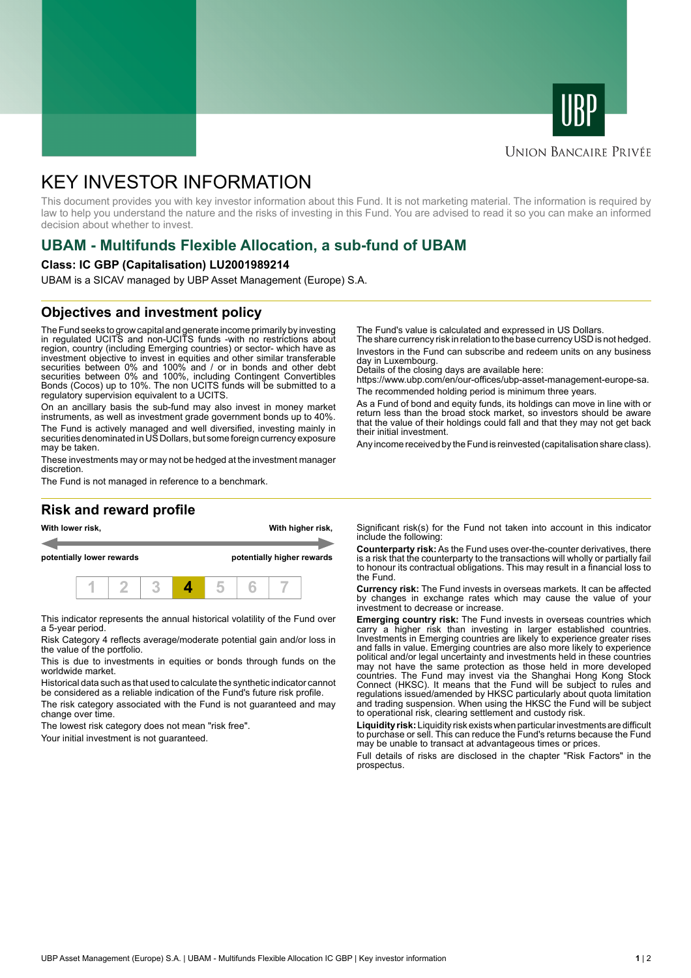



### **UNION BANCAIRE PRIVÉE**

# KEY INVESTOR INFORMATION

This document provides you with key investor information about this Fund. It is not marketing material. The information is required by law to help you understand the nature and the risks of investing in this Fund. You are advised to read it so you can make an informed decision about whether to invest.

# **UBAM - Multifunds Flexible Allocation, a sub-fund of UBAM**

#### **Class: IC GBP (Capitalisation) LU2001989214**

UBAM is a SICAV managed by UBP Asset Management (Europe) S.A.

# **Objectives and investment policy**

The Fund seeks to grow capital and generate income primarily by investing in regulated UCITS and non-UCITS funds -with no restrictions about region, country (including Emerging countries) or sector- which have as investment objective to invest in equities and other similar transferable securities between 0% and 100% and / or in bonds and other debt securities between 0% and 100%, including Contingent Convertibles Bonds (Cocos) up to 10%. The non UCITS funds will be submitted to a regulatory supervision equivalent to a UCITS.

On an ancillary basis the sub-fund may also invest in money market instruments, as well as investment grade government bonds up to 40%. The Fund is actively managed and well diversified, investing mainly in securities denominated in US Dollars, but some foreign currency exposure may be taken.

These investments may or may not be hedged at the investment manager discretion.

The Fund is not managed in reference to a benchmark.

# **Risk and reward profile**



This indicator represents the annual historical volatility of the Fund over a 5-year period.

Risk Category 4 reflects average/moderate potential gain and/or loss in the value of the portfolio.

This is due to investments in equities or bonds through funds on the worldwide market.

Historical data such as that used to calculate the synthetic indicator cannot be considered as a reliable indication of the Fund's future risk profile. The risk category associated with the Fund is not guaranteed and may

change over time.

The lowest risk category does not mean "risk free".

Your initial investment is not guaranteed.

The Fund's value is calculated and expressed in US Dollars.

The share currency risk in relation to the base currency USD is not hedged. Investors in the Fund can subscribe and redeem units on any business day in Luxembourg.

Details of the closing days are available here:

https://www.ubp.com/en/our-offices/ubp-asset-management-europe-sa. The recommended holding period is minimum three years.

As a Fund of bond and equity funds, its holdings can move in line with or return less than the broad stock market, so investors should be aware that the value of their holdings could fall and that they may not get back their initial investment.

Any income received by the Fund is reinvested (capitalisation share class).

Significant risk(s) for the Fund not taken into account in this indicator include the following:

**Counterparty risk:** As the Fund uses over-the-counter derivatives, there is a risk that the counterparty to the transactions will wholly or partially fail to honour its contractual obligations. This may result in a financial loss to the Fund.

**Currency risk:** The Fund invests in overseas markets. It can be affected by changes in exchange rates which may cause the value of your investment to decrease or increase.

**Emerging country risk:** The Fund invests in overseas countries which carry a higher risk than investing in larger established countries. Investments in Emerging countries are likely to experience greater rises and falls in value. Emerging countries are also more likely to experience political and/or legal uncertainty and investments held in these countries may not have the same protection as those held in more developed countries. The Fund may invest via the Shanghai Hong Kong Stock Connect (HKSC). It means that the Fund will be subject to rules and regulations issued/amended by HKSC particularly about quota limitation and trading suspension. When using the HKSC the Fund will be subject to operational risk, clearing settlement and custody risk.

**Liquidity risk:** Liquidity risk exists when particular investments are difficult to purchase or sell. This can reduce the Fund's returns because the Fund may be unable to transact at advantageous times or prices.

Full details of risks are disclosed in the chapter "Risk Factors" in the prospectus.